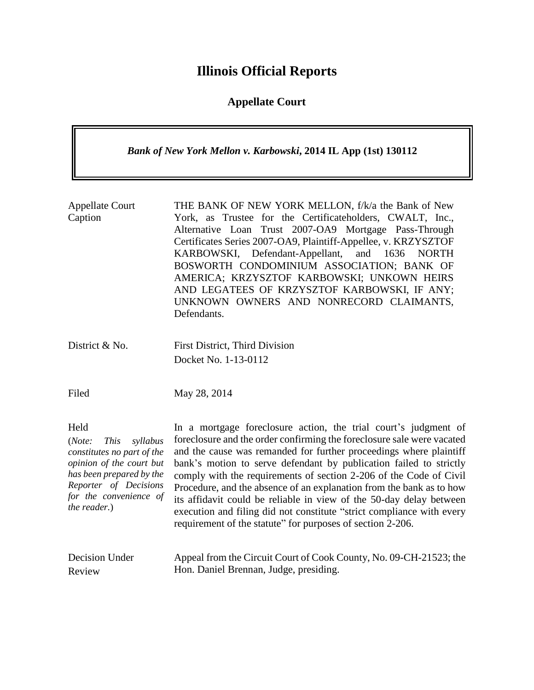# **Illinois Official Reports**

## **Appellate Court**

| Bank of New York Mellon v. Karbowski, 2014 IL App (1st) 130112                                                                                                                                     |                                                                                                                                                                                                                                                                                                                                                                                                                                                                                                                                                                                                                                                   |
|----------------------------------------------------------------------------------------------------------------------------------------------------------------------------------------------------|---------------------------------------------------------------------------------------------------------------------------------------------------------------------------------------------------------------------------------------------------------------------------------------------------------------------------------------------------------------------------------------------------------------------------------------------------------------------------------------------------------------------------------------------------------------------------------------------------------------------------------------------------|
| <b>Appellate Court</b><br>Caption                                                                                                                                                                  | THE BANK OF NEW YORK MELLON, f/k/a the Bank of New<br>York, as Trustee for the Certificateholders, CWALT, Inc.,<br>Alternative Loan Trust 2007-OA9 Mortgage Pass-Through<br>Certificates Series 2007-OA9, Plaintiff-Appellee, v. KRZYSZTOF<br>KARBOWSKI, Defendant-Appellant,<br>and<br>1636<br><b>NORTH</b><br>BOSWORTH CONDOMINIUM ASSOCIATION; BANK OF<br>AMERICA; KRZYSZTOF KARBOWSKI; UNKOWN HEIRS<br>AND LEGATEES OF KRZYSZTOF KARBOWSKI, IF ANY;<br>UNKNOWN OWNERS AND NONRECORD CLAIMANTS,<br>Defendants.                                                                                                                                 |
| District & No.                                                                                                                                                                                     | First District, Third Division<br>Docket No. 1-13-0112                                                                                                                                                                                                                                                                                                                                                                                                                                                                                                                                                                                            |
| Filed                                                                                                                                                                                              | May 28, 2014                                                                                                                                                                                                                                                                                                                                                                                                                                                                                                                                                                                                                                      |
| Held<br>(Note:<br><i>This</i><br>syllabus<br>constitutes no part of the<br>opinion of the court but<br>has been prepared by the<br>Reporter of Decisions<br>for the convenience of<br>the reader.) | In a mortgage foreclosure action, the trial court's judgment of<br>foreclosure and the order confirming the foreclosure sale were vacated<br>and the cause was remanded for further proceedings where plaintiff<br>bank's motion to serve defendant by publication failed to strictly<br>comply with the requirements of section 2-206 of the Code of Civil<br>Procedure, and the absence of an explanation from the bank as to how<br>its affidavit could be reliable in view of the 50-day delay between<br>execution and filing did not constitute "strict compliance with every<br>requirement of the statute" for purposes of section 2-206. |
| <b>Decision Under</b><br>Review                                                                                                                                                                    | Appeal from the Circuit Court of Cook County, No. 09-CH-21523; the<br>Hon. Daniel Brennan, Judge, presiding.                                                                                                                                                                                                                                                                                                                                                                                                                                                                                                                                      |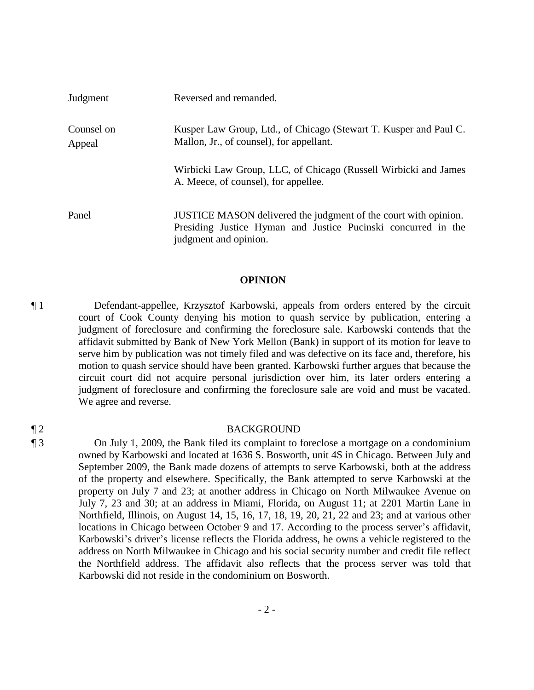| Judgment             | Reversed and remanded.                                                                                                           |
|----------------------|----------------------------------------------------------------------------------------------------------------------------------|
| Counsel on<br>Appeal | Kusper Law Group, Ltd., of Chicago (Stewart T. Kusper and Paul C.<br>Mallon, Jr., of counsel), for appellant.                    |
|                      | Wirbicki Law Group, LLC, of Chicago (Russell Wirbicki and James<br>A. Meece, of counsel), for appellee.                          |
| Panel                | JUSTICE MASON delivered the judgment of the court with opinion.<br>Presiding Justice Hyman and Justice Pucinski concurred in the |

## **OPINION**

judgment and opinion.

¶ 1 Defendant-appellee, Krzysztof Karbowski, appeals from orders entered by the circuit court of Cook County denying his motion to quash service by publication, entering a judgment of foreclosure and confirming the foreclosure sale. Karbowski contends that the affidavit submitted by Bank of New York Mellon (Bank) in support of its motion for leave to serve him by publication was not timely filed and was defective on its face and, therefore, his motion to quash service should have been granted. Karbowski further argues that because the circuit court did not acquire personal jurisdiction over him, its later orders entering a judgment of foreclosure and confirming the foreclosure sale are void and must be vacated. We agree and reverse.

### ¶ 2 BACKGROUND

¶ 3 On July 1, 2009, the Bank filed its complaint to foreclose a mortgage on a condominium owned by Karbowski and located at 1636 S. Bosworth, unit 4S in Chicago. Between July and September 2009, the Bank made dozens of attempts to serve Karbowski, both at the address of the property and elsewhere. Specifically, the Bank attempted to serve Karbowski at the property on July 7 and 23; at another address in Chicago on North Milwaukee Avenue on July 7, 23 and 30; at an address in Miami, Florida, on August 11; at 2201 Martin Lane in Northfield, Illinois, on August 14, 15, 16, 17, 18, 19, 20, 21, 22 and 23; and at various other locations in Chicago between October 9 and 17. According to the process server's affidavit, Karbowski's driver's license reflects the Florida address, he owns a vehicle registered to the address on North Milwaukee in Chicago and his social security number and credit file reflect the Northfield address. The affidavit also reflects that the process server was told that Karbowski did not reside in the condominium on Bosworth.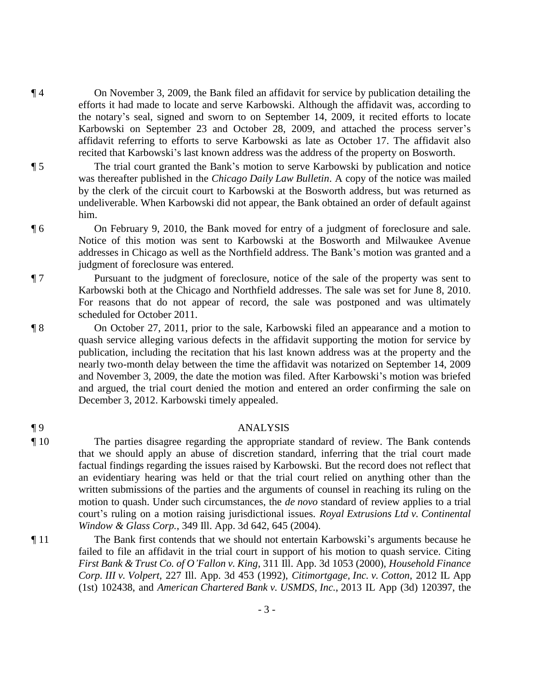- ¶ 4 On November 3, 2009, the Bank filed an affidavit for service by publication detailing the efforts it had made to locate and serve Karbowski. Although the affidavit was, according to the notary's seal, signed and sworn to on September 14, 2009, it recited efforts to locate Karbowski on September 23 and October 28, 2009, and attached the process server's affidavit referring to efforts to serve Karbowski as late as October 17. The affidavit also recited that Karbowski's last known address was the address of the property on Bosworth.
- ¶ 5 The trial court granted the Bank's motion to serve Karbowski by publication and notice was thereafter published in the *Chicago Daily Law Bulletin*. A copy of the notice was mailed by the clerk of the circuit court to Karbowski at the Bosworth address, but was returned as undeliverable. When Karbowski did not appear, the Bank obtained an order of default against him.
- ¶ 6 On February 9, 2010, the Bank moved for entry of a judgment of foreclosure and sale. Notice of this motion was sent to Karbowski at the Bosworth and Milwaukee Avenue addresses in Chicago as well as the Northfield address. The Bank's motion was granted and a judgment of foreclosure was entered.
- ¶ 7 Pursuant to the judgment of foreclosure, notice of the sale of the property was sent to Karbowski both at the Chicago and Northfield addresses. The sale was set for June 8, 2010. For reasons that do not appear of record, the sale was postponed and was ultimately scheduled for October 2011.
- ¶ 8 On October 27, 2011, prior to the sale, Karbowski filed an appearance and a motion to quash service alleging various defects in the affidavit supporting the motion for service by publication, including the recitation that his last known address was at the property and the nearly two-month delay between the time the affidavit was notarized on September 14, 2009 and November 3, 2009, the date the motion was filed. After Karbowski's motion was briefed and argued, the trial court denied the motion and entered an order confirming the sale on December 3, 2012. Karbowski timely appealed.

## ¶ 9 ANALYSIS

- ¶ 10 The parties disagree regarding the appropriate standard of review. The Bank contends that we should apply an abuse of discretion standard, inferring that the trial court made factual findings regarding the issues raised by Karbowski. But the record does not reflect that an evidentiary hearing was held or that the trial court relied on anything other than the written submissions of the parties and the arguments of counsel in reaching its ruling on the motion to quash. Under such circumstances, the *de novo* standard of review applies to a trial court's ruling on a motion raising jurisdictional issues. *Royal Extrusions Ltd v. Continental Window & Glass Corp.*, 349 Ill. App. 3d 642, 645 (2004).
- ¶ 11 The Bank first contends that we should not entertain Karbowski's arguments because he failed to file an affidavit in the trial court in support of his motion to quash service. Citing *First Bank & Trust Co. of O'Fallon v. King*, 311 Ill. App. 3d 1053 (2000), *Household Finance Corp. III v. Volpert*, 227 Ill. App. 3d 453 (1992), *Citimortgage, Inc. v. Cotton*, 2012 IL App (1st) 102438, and *American Chartered Bank v. USMDS, Inc.*, 2013 IL App (3d) 120397, the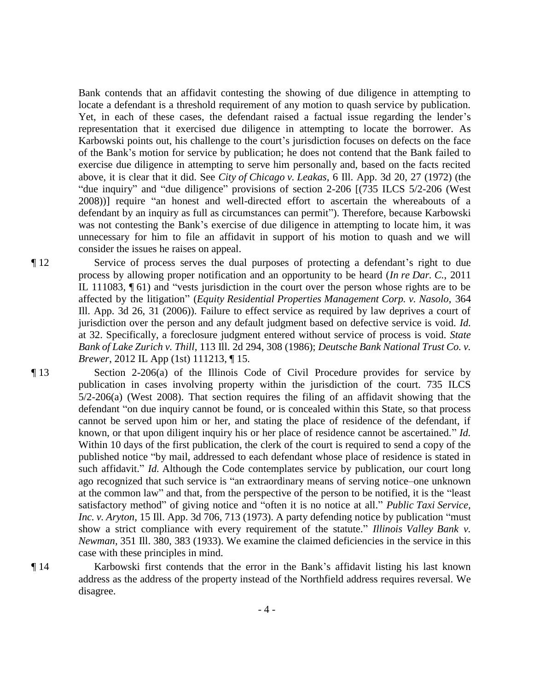Bank contends that an affidavit contesting the showing of due diligence in attempting to locate a defendant is a threshold requirement of any motion to quash service by publication. Yet, in each of these cases, the defendant raised a factual issue regarding the lender's representation that it exercised due diligence in attempting to locate the borrower. As Karbowski points out, his challenge to the court's jurisdiction focuses on defects on the face of the Bank's motion for service by publication; he does not contend that the Bank failed to exercise due diligence in attempting to serve him personally and, based on the facts recited above, it is clear that it did. See *City of Chicago v. Leakas*, 6 Ill. App. 3d 20, 27 (1972) (the "due inquiry" and "due diligence" provisions of section 2-206 [(735 ILCS 5/2-206 (West 2008))] require "an honest and well-directed effort to ascertain the whereabouts of a defendant by an inquiry as full as circumstances can permit"). Therefore, because Karbowski was not contesting the Bank's exercise of due diligence in attempting to locate him, it was unnecessary for him to file an affidavit in support of his motion to quash and we will consider the issues he raises on appeal.

¶ 12 Service of process serves the dual purposes of protecting a defendant's right to due process by allowing proper notification and an opportunity to be heard (*In re Dar. C.*, 2011 IL 111083, ¶ 61) and "vests jurisdiction in the court over the person whose rights are to be affected by the litigation" (*Equity Residential Properties Management Corp. v. Nasolo*, 364 Ill. App. 3d 26, 31 (2006)). Failure to effect service as required by law deprives a court of jurisdiction over the person and any default judgment based on defective service is void. *Id.* at 32. Specifically, a foreclosure judgment entered without service of process is void. *State Bank of Lake Zurich v. Thill*, 113 Ill. 2d 294, 308 (1986); *Deutsche Bank National Trust Co. v. Brewer*, 2012 IL App (1st) 111213, ¶ 15.

¶ 13 Section 2-206(a) of the Illinois Code of Civil Procedure provides for service by publication in cases involving property within the jurisdiction of the court. 735 ILCS 5/2-206(a) (West 2008). That section requires the filing of an affidavit showing that the defendant "on due inquiry cannot be found, or is concealed within this State, so that process cannot be served upon him or her, and stating the place of residence of the defendant, if known, or that upon diligent inquiry his or her place of residence cannot be ascertained." *Id.* Within 10 days of the first publication, the clerk of the court is required to send a copy of the published notice "by mail, addressed to each defendant whose place of residence is stated in such affidavit." *Id.* Although the Code contemplates service by publication, our court long ago recognized that such service is "an extraordinary means of serving notice–one unknown at the common law" and that, from the perspective of the person to be notified, it is the "least satisfactory method" of giving notice and "often it is no notice at all." *Public Taxi Service, Inc. v. Aryton*, 15 Ill. App. 3d 706, 713 (1973). A party defending notice by publication "must show a strict compliance with every requirement of the statute." *Illinois Valley Bank v. Newman*, 351 Ill. 380, 383 (1933). We examine the claimed deficiencies in the service in this case with these principles in mind.

¶ 14 Karbowski first contends that the error in the Bank's affidavit listing his last known address as the address of the property instead of the Northfield address requires reversal. We disagree.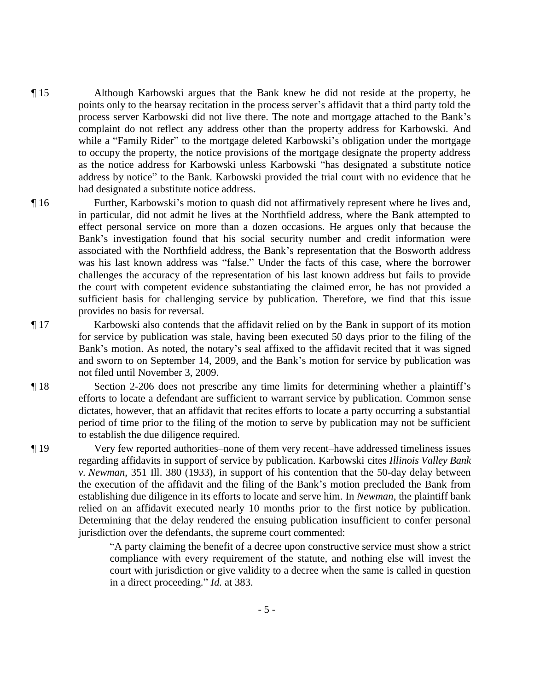- ¶ 15 Although Karbowski argues that the Bank knew he did not reside at the property, he points only to the hearsay recitation in the process server's affidavit that a third party told the process server Karbowski did not live there. The note and mortgage attached to the Bank's complaint do not reflect any address other than the property address for Karbowski. And while a "Family Rider" to the mortgage deleted Karbowski's obligation under the mortgage to occupy the property, the notice provisions of the mortgage designate the property address as the notice address for Karbowski unless Karbowski "has designated a substitute notice address by notice" to the Bank. Karbowski provided the trial court with no evidence that he had designated a substitute notice address.
- ¶ 16 Further, Karbowski's motion to quash did not affirmatively represent where he lives and, in particular, did not admit he lives at the Northfield address, where the Bank attempted to effect personal service on more than a dozen occasions. He argues only that because the Bank's investigation found that his social security number and credit information were associated with the Northfield address, the Bank's representation that the Bosworth address was his last known address was "false." Under the facts of this case, where the borrower challenges the accuracy of the representation of his last known address but fails to provide the court with competent evidence substantiating the claimed error, he has not provided a sufficient basis for challenging service by publication. Therefore, we find that this issue provides no basis for reversal.
- ¶ 17 Karbowski also contends that the affidavit relied on by the Bank in support of its motion for service by publication was stale, having been executed 50 days prior to the filing of the Bank's motion. As noted, the notary's seal affixed to the affidavit recited that it was signed and sworn to on September 14, 2009, and the Bank's motion for service by publication was not filed until November 3, 2009.
- ¶ 18 Section 2-206 does not prescribe any time limits for determining whether a plaintiff's efforts to locate a defendant are sufficient to warrant service by publication. Common sense dictates, however, that an affidavit that recites efforts to locate a party occurring a substantial period of time prior to the filing of the motion to serve by publication may not be sufficient to establish the due diligence required.
- ¶ 19 Very few reported authorities–none of them very recent–have addressed timeliness issues regarding affidavits in support of service by publication. Karbowski cites *Illinois Valley Bank v. Newman*, 351 Ill. 380 (1933), in support of his contention that the 50-day delay between the execution of the affidavit and the filing of the Bank's motion precluded the Bank from establishing due diligence in its efforts to locate and serve him. In *Newman*, the plaintiff bank relied on an affidavit executed nearly 10 months prior to the first notice by publication. Determining that the delay rendered the ensuing publication insufficient to confer personal jurisdiction over the defendants, the supreme court commented:
	- "A party claiming the benefit of a decree upon constructive service must show a strict compliance with every requirement of the statute, and nothing else will invest the court with jurisdiction or give validity to a decree when the same is called in question in a direct proceeding." *Id.* at 383.

- 5 -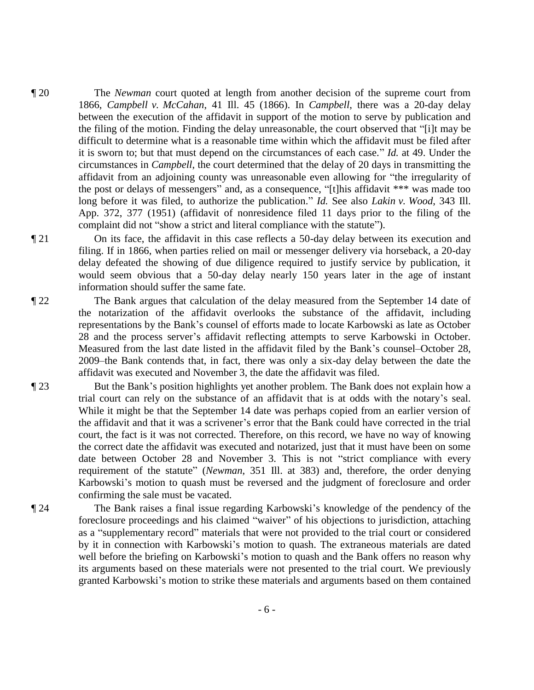- ¶ 20 The *Newman* court quoted at length from another decision of the supreme court from 1866, *Campbell v. McCahan*, 41 Ill. 45 (1866). In *Campbell*, there was a 20-day delay between the execution of the affidavit in support of the motion to serve by publication and the filing of the motion. Finding the delay unreasonable, the court observed that "[i]t may be difficult to determine what is a reasonable time within which the affidavit must be filed after it is sworn to; but that must depend on the circumstances of each case." *Id.* at 49. Under the circumstances in *Campbell*, the court determined that the delay of 20 days in transmitting the affidavit from an adjoining county was unreasonable even allowing for "the irregularity of the post or delays of messengers" and, as a consequence, "[t]his affidavit \*\*\* was made too long before it was filed, to authorize the publication." *Id.* See also *Lakin v. Wood*, 343 Ill. App. 372, 377 (1951) (affidavit of nonresidence filed 11 days prior to the filing of the complaint did not "show a strict and literal compliance with the statute").
- ¶ 21 On its face, the affidavit in this case reflects a 50-day delay between its execution and filing. If in 1866, when parties relied on mail or messenger delivery via horseback, a 20-day delay defeated the showing of due diligence required to justify service by publication, it would seem obvious that a 50-day delay nearly 150 years later in the age of instant information should suffer the same fate.
- ¶ 22 The Bank argues that calculation of the delay measured from the September 14 date of the notarization of the affidavit overlooks the substance of the affidavit, including representations by the Bank's counsel of efforts made to locate Karbowski as late as October 28 and the process server's affidavit reflecting attempts to serve Karbowski in October. Measured from the last date listed in the affidavit filed by the Bank's counsel–October 28, 2009–the Bank contends that, in fact, there was only a six-day delay between the date the affidavit was executed and November 3, the date the affidavit was filed.
- ¶ 23 But the Bank's position highlights yet another problem. The Bank does not explain how a trial court can rely on the substance of an affidavit that is at odds with the notary's seal. While it might be that the September 14 date was perhaps copied from an earlier version of the affidavit and that it was a scrivener's error that the Bank could have corrected in the trial court, the fact is it was not corrected. Therefore, on this record, we have no way of knowing the correct date the affidavit was executed and notarized, just that it must have been on some date between October 28 and November 3. This is not "strict compliance with every requirement of the statute" (*Newman*, 351 Ill. at 383) and, therefore, the order denying Karbowski's motion to quash must be reversed and the judgment of foreclosure and order confirming the sale must be vacated.
- ¶ 24 The Bank raises a final issue regarding Karbowski's knowledge of the pendency of the foreclosure proceedings and his claimed "waiver" of his objections to jurisdiction, attaching as a "supplementary record" materials that were not provided to the trial court or considered by it in connection with Karbowski's motion to quash. The extraneous materials are dated well before the briefing on Karbowski's motion to quash and the Bank offers no reason why its arguments based on these materials were not presented to the trial court. We previously granted Karbowski's motion to strike these materials and arguments based on them contained
	- 6 -